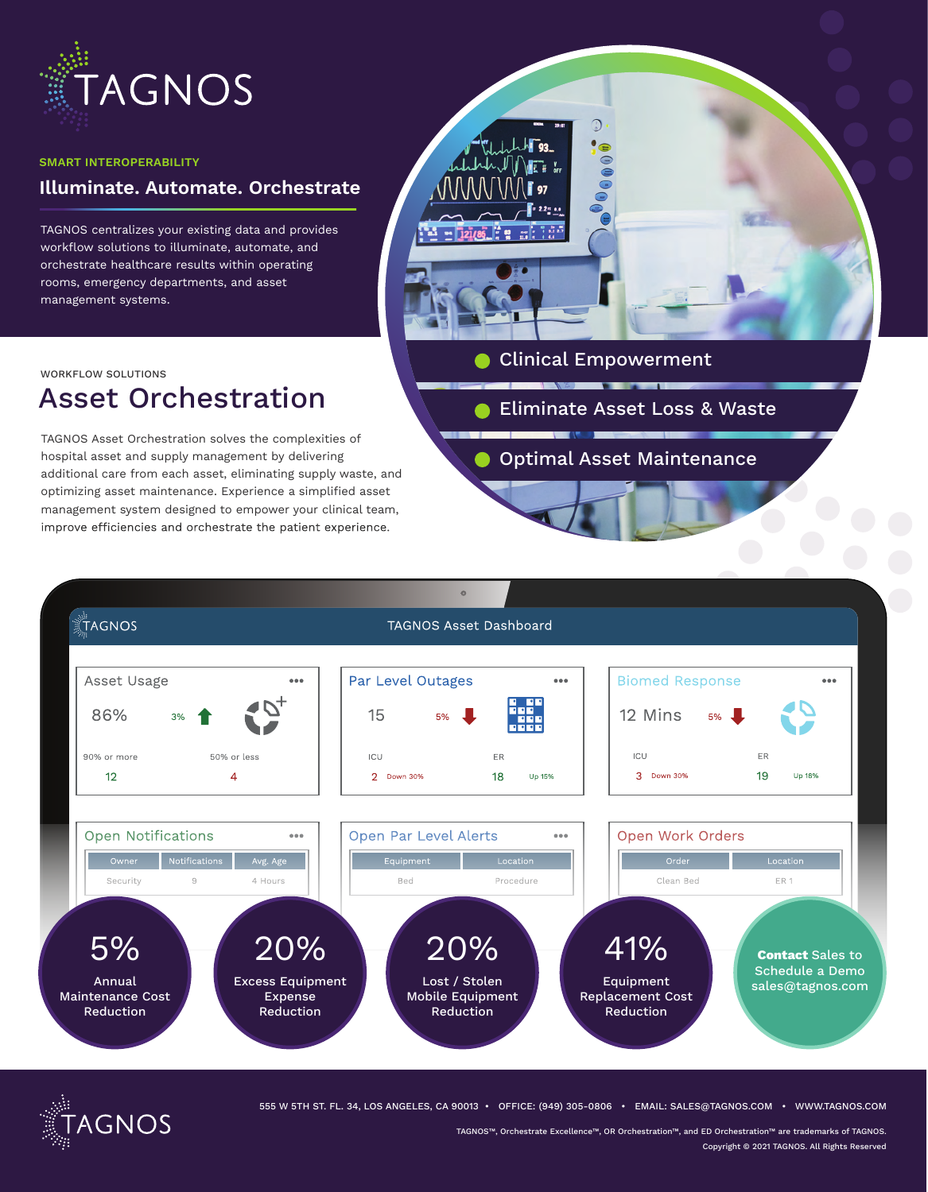

#### **SMART INTEROPERABILITY**

### **Illuminate. Automate. Orchestrate**

TAGNOS centralizes your existing data and provides workflow solutions to illuminate, automate, and orchestrate healthcare results within operating rooms, emergency departments, and asset management systems.



# Asset Orchestration

TAGNOS Asset Orchestration solves the complexities of hospital asset and supply management by delivering additional care from each asset, eliminating supply waste, and optimizing asset maintenance. Experience a simplified asset management system designed to empower your clinical team, improve efficiencies and orchestrate the patient experience.



Clinical Empowerment

- **Eliminate Asset Loss & Waste**
- **Optimal Asset Maintenance**





555 W 5TH ST. FL. 34, LOS ANGELES, CA 90013 • OFFICE: (949) 305-0806 • EMAIL: SALES@TAGNOS.COM • WWW.TAGNOS.COM

TAGNOS™, Orchestrate Excellence™, OR Orchestration™, and ED Orchestration™ are trademarks of TAGNOS. Copyright © 2021 TAGNOS. All Rights Reserved